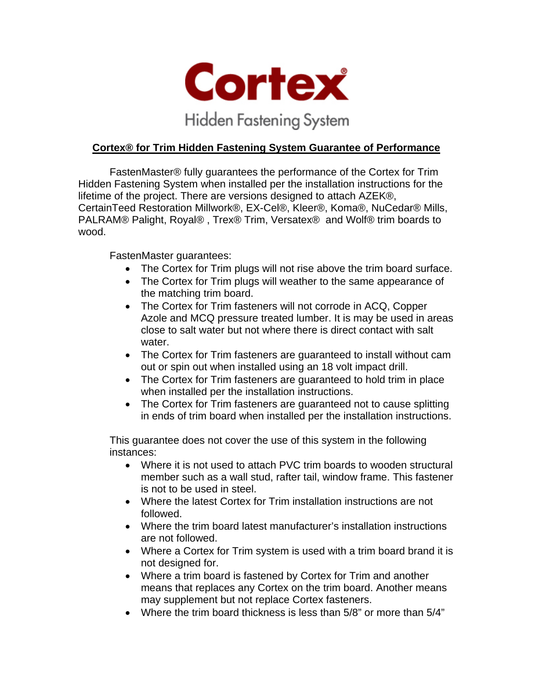

## **Cortex® for Trim Hidden Fastening System Guarantee of Performance**

FastenMaster® fully guarantees the performance of the Cortex for Trim Hidden Fastening System when installed per the installation instructions for the lifetime of the project. There are versions designed to attach AZEK®, CertainTeed Restoration Millwork®, EX-Cel®, Kleer®, Koma®, NuCedar® Mills, PALRAM® Palight, Royal® , Trex® Trim, Versatex® and Wolf® trim boards to wood.

FastenMaster guarantees:

- The Cortex for Trim plugs will not rise above the trim board surface.
- The Cortex for Trim plugs will weather to the same appearance of the matching trim board.
- The Cortex for Trim fasteners will not corrode in ACQ, Copper Azole and MCQ pressure treated lumber. It is may be used in areas close to salt water but not where there is direct contact with salt water.
- The Cortex for Trim fasteners are guaranteed to install without cam out or spin out when installed using an 18 volt impact drill.
- The Cortex for Trim fasteners are quaranteed to hold trim in place when installed per the installation instructions.
- The Cortex for Trim fasteners are quaranteed not to cause splitting in ends of trim board when installed per the installation instructions.

This guarantee does not cover the use of this system in the following instances:

- Where it is not used to attach PVC trim boards to wooden structural member such as a wall stud, rafter tail, window frame. This fastener is not to be used in steel.
- Where the latest Cortex for Trim installation instructions are not followed.
- Where the trim board latest manufacturer's installation instructions are not followed.
- Where a Cortex for Trim system is used with a trim board brand it is not designed for.
- Where a trim board is fastened by Cortex for Trim and another means that replaces any Cortex on the trim board. Another means may supplement but not replace Cortex fasteners.
- Where the trim board thickness is less than 5/8" or more than 5/4"